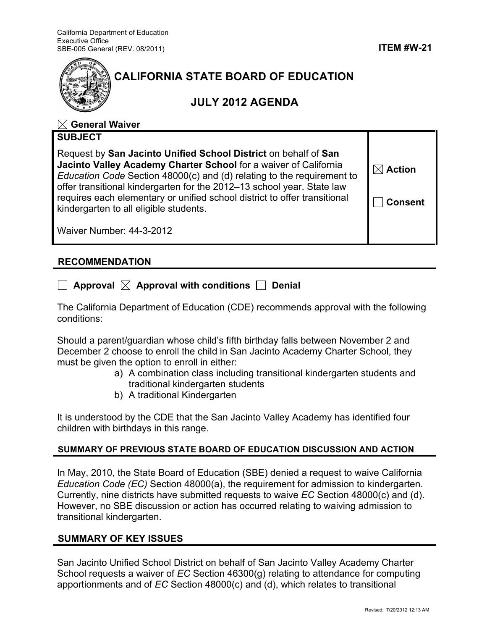

# **CALIFORNIA STATE BOARD OF EDUCATION**

# **JULY 2012 AGENDA**

## **General Waiver**

| <b>SUBJECT</b>                                                                                                                                                                                                                                                                                                                                                                                                 |                                      |
|----------------------------------------------------------------------------------------------------------------------------------------------------------------------------------------------------------------------------------------------------------------------------------------------------------------------------------------------------------------------------------------------------------------|--------------------------------------|
| Request by San Jacinto Unified School District on behalf of San<br>Jacinto Valley Academy Charter School for a waiver of California<br>Education Code Section 48000(c) and (d) relating to the requirement to<br>offer transitional kindergarten for the 2012-13 school year. State law<br>requires each elementary or unified school district to offer transitional<br>kindergarten to all eligible students. | $\boxtimes$ Action<br><b>Consent</b> |
| Waiver Number: 44-3-2012                                                                                                                                                                                                                                                                                                                                                                                       |                                      |

### **RECOMMENDATION**

|  | $\Box$ Approval $\boxtimes$ Approval with conditions $\Box$ Denial |  |
|--|--------------------------------------------------------------------|--|
|--|--------------------------------------------------------------------|--|

The California Department of Education (CDE) recommends approval with the following conditions:

Should a parent/guardian whose child's fifth birthday falls between November 2 and December 2 choose to enroll the child in San Jacinto Academy Charter School, they must be given the option to enroll in either:

- a) A combination class including transitional kindergarten students and traditional kindergarten students
- b) A traditional Kindergarten

It is understood by the CDE that the San Jacinto Valley Academy has identified four children with birthdays in this range.

#### **SUMMARY OF PREVIOUS STATE BOARD OF EDUCATION DISCUSSION AND ACTION**

In May, 2010, the State Board of Education (SBE) denied a request to waive California *Education Code (EC)* Section 48000(a), the requirement for admission to kindergarten. Currently, nine districts have submitted requests to waive *EC* Section 48000(c) and (d). However, no SBE discussion or action has occurred relating to waiving admission to transitional kindergarten.

#### **SUMMARY OF KEY ISSUES**

San Jacinto Unified School District on behalf of San Jacinto Valley Academy Charter School requests a waiver of *EC* Section 46300(g) relating to attendance for computing apportionments and of *EC* Section 48000(c) and (d), which relates to transitional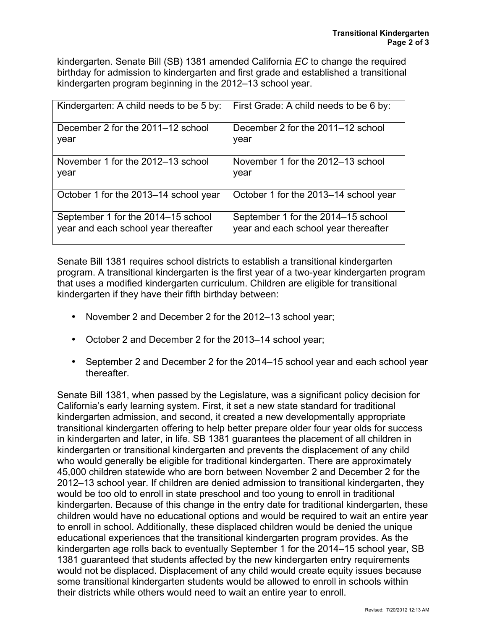kindergarten. Senate Bill (SB) 1381 amended California *EC* to change the required birthday for admission to kindergarten and first grade and established a transitional kindergarten program beginning in the 2012–13 school year.

| Kindergarten: A child needs to be 5 by: | First Grade: A child needs to be 6 by: |
|-----------------------------------------|----------------------------------------|
| December 2 for the 2011–12 school       | December 2 for the 2011–12 school      |
| year                                    | year                                   |
| November 1 for the 2012–13 school       | November 1 for the 2012–13 school      |
| year                                    | year                                   |
| October 1 for the 2013–14 school year   | October 1 for the 2013–14 school year  |
| September 1 for the 2014–15 school      | September 1 for the 2014–15 school     |
| year and each school year thereafter    | year and each school year thereafter   |

Senate Bill 1381 requires school districts to establish a transitional kindergarten program. A transitional kindergarten is the first year of a two-year kindergarten program that uses a modified kindergarten curriculum. Children are eligible for transitional kindergarten if they have their fifth birthday between:

- November 2 and December 2 for the 2012–13 school year;
- October 2 and December 2 for the 2013–14 school year;
- September 2 and December 2 for the 2014–15 school year and each school year thereafter.

Senate Bill 1381, when passed by the Legislature, was a significant policy decision for California's early learning system. First, it set a new state standard for traditional kindergarten admission, and second, it created a new developmentally appropriate transitional kindergarten offering to help better prepare older four year olds for success in kindergarten and later, in life. SB 1381 guarantees the placement of all children in kindergarten or transitional kindergarten and prevents the displacement of any child who would generally be eligible for traditional kindergarten. There are approximately 45,000 children statewide who are born between November 2 and December 2 for the 2012–13 school year. If children are denied admission to transitional kindergarten, they would be too old to enroll in state preschool and too young to enroll in traditional kindergarten. Because of this change in the entry date for traditional kindergarten, these children would have no educational options and would be required to wait an entire year to enroll in school. Additionally, these displaced children would be denied the unique educational experiences that the transitional kindergarten program provides. As the kindergarten age rolls back to eventually September 1 for the 2014–15 school year, SB 1381 guaranteed that students affected by the new kindergarten entry requirements would not be displaced. Displacement of any child would create equity issues because some transitional kindergarten students would be allowed to enroll in schools within their districts while others would need to wait an entire year to enroll.